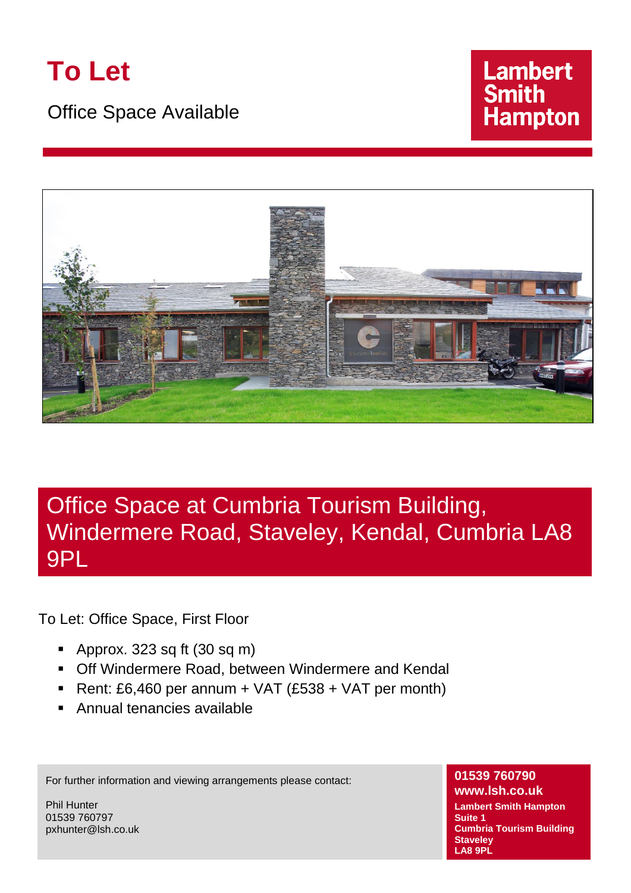

Office Space Available





# Office Space at Cumbria Tourism Building, Windermere Road, Staveley, Kendal, Cumbria LA8 9PL

To Let: Office Space, First Floor

- Approx. 323 sq ft  $(30 \text{ sq m})$
- **Off Windermere Road, between Windermere and Kendal**
- Rent: £6,460 per annum + VAT  $(£538 + VAT$  per month)
- Annual tenancies available

For further information and viewing arrangements please contact:

Phil Hunter 01539 760797 pxhunter@lsh.co.uk

### **01539 760790**

**www.lsh.co.uk Lambert Smith Hampton Suite 1 Cumbria Tourism Building Staveley LA8 9PL**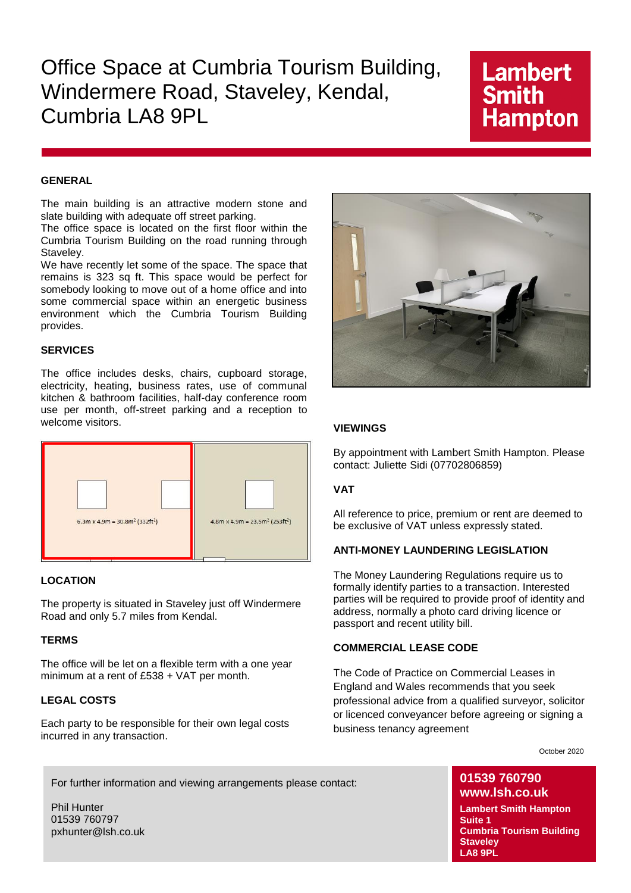## Office Space at Cumbria Tourism Building, Windermere Road, Staveley, Kendal, Cumbria LA8 9PL

## **Lambert Smith Hampton**

#### **GENERAL**

The main building is an attractive modern stone and slate building with adequate off street parking.

The office space is located on the first floor within the Cumbria Tourism Building on the road running through Staveley.

We have recently let some of the space. The space that remains is 323 sq ft. This space would be perfect for somebody looking to move out of a home office and into some commercial space within an energetic business environment which the Cumbria Tourism Building provides.

#### **SERVICES**

The office includes desks, chairs, cupboard storage, electricity, heating, business rates, use of communal kitchen & bathroom facilities, half-day conference room use per month, off-street parking and a reception to welcome visitors.



#### **LOCATION**

The property is situated in Staveley just off Windermere Road and only 5.7 miles from Kendal.

#### **TERMS**

The office will be let on a flexible term with a one year minimum at a rent of £538 + VAT per month.

#### **LEGAL COSTS**

Each party to be responsible for their own legal costs incurred in any transaction.



#### **VIEWINGS**

By appointment with Lambert Smith Hampton. Please contact: Juliette Sidi (07702806859)

#### **VAT**

All reference to price, premium or rent are deemed to be exclusive of VAT unless expressly stated.

#### **ANTI-MONEY LAUNDERING LEGISLATION**

The Money Laundering Regulations require us to formally identify parties to a transaction. Interested parties will be required to provide proof of identity and address, normally a photo card driving licence or passport and recent utility bill.

#### **COMMERCIAL LEASE CODE**

The Code of Practice on Commercial Leases in England and Wales recommends that you seek professional advice from a qualified surveyor, solicitor or licenced conveyancer before agreeing or signing a business tenancy agreement

October 2020

For further information and viewing arrangements please contact:

Phil Hunter 01539 760797 pxhunter@lsh.co.uk

### **01539 760790 www.lsh.co.uk**

**Lambert Smith Hampton Suite 1 Cumbria Tourism Building Staveley LA8 9PL**